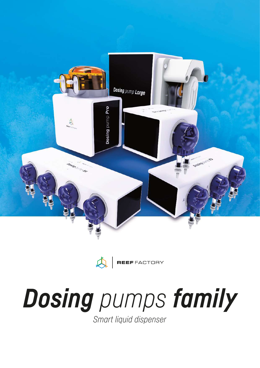

 $\bigtriangleup$ 

REEF FACTORY

# *Dosing pumps family*

*Smart liquid dispenser*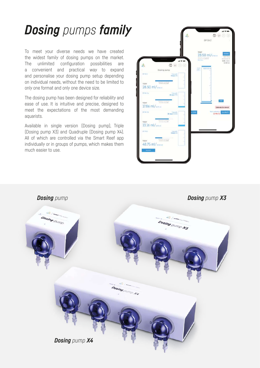# *Dosing pumps family*

To meet your diverse needs we have created the widest family of dosing pumps on the market. The unlimited configuration possibilities are a convenient and practical way to expand and personalise your dosing pump setup depending on individual needs, without the need to be limited to only one format and only one device size.

The dosing pump has been designed for reliability and ease of use. It is intuitive and precise, designed to meet the expectations of the most demanding aquarists.

Available in single version (Dosing pump), Triple (Dosing pump X3) and Quadruple (Dosing pump X4). All of which are controlled via the Smart Reef app individually or in groups of pumps, which makes them much easier to use.

|                          |                                                  |              | $\circledast \circledcirc \circledcirc$<br>DP CA 2 |                                                                          |
|--------------------------|--------------------------------------------------|--------------|----------------------------------------------------|--------------------------------------------------------------------------|
|                          | $H \otimes H$                                    | <b>TODAY</b> | 28.50 ml/monm<br>wherein many 2020 or              | position<br><b>Hert Hope</b><br>to elemow at<br>0:00, volum<br>13.50 ml. |
|                          | 0 0 0 0                                          |              |                                                    |                                                                          |
| DP.CA2                   | Dosing pump<br>Time little<br>O days 03:         | $rac{1}{2}$  | 5000.00 mi                                         |                                                                          |
| TODAY<br>28.50 ml/mem    | Internet College                                 |              |                                                    |                                                                          |
| DP KH Sa                 | Tire latt                                        |              |                                                    |                                                                          |
| TODAY<br>17.86 ml/anm    | intains has 3 (6)                                |              |                                                    | tar<br>Calibrate the device!                                             |
| <b>DPANETS</b>           | Torre list:<br>30 days 10,24%                    | LOCAL        |                                                    | Next californian<br>12-Mar 21                                            |
| TODAY<br>13.16 ml/1692ml | antarine Scholz & H                              |              |                                                    |                                                                          |
| DP HD 3                  | Titu with<br>O days (X)                          |              |                                                    |                                                                          |
| TODAY:<br>48.75 ml/mster | <b>Latractive Way 21, 22, 23</b><br>almit anythe |              |                                                    |                                                                          |
| ADJUST                   |                                                  |              |                                                    |                                                                          |

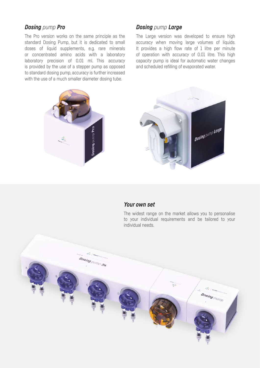#### *Dosing pump Pro*

The Pro version works on the same principle as the standard Dosing Pump, but it is dedicated to small doses of liquid supplements, e.g. rare minerals or concentrated amino acids with a laboratory laboratory precision of 0.01 ml. This accuracy is provided by the use of a stepper pump as opposed to standard dosing pump, accuracy is further increased with the use of a much smaller diameter dosing tube.

#### *Dosing pump Large*

The Large version was developed to ensure high accuracy when moving large volumes of liquids. It provides a high flow rate of 1 litre per minute of operation with accuracy of 0.01 litre. This high capacity pump is ideal for automatic water changes and scheduled refilling of evaporated water.



#### *Your own set*

The widest range on the market allows you to personalise to your individual requirements and be tailored to your individual needs.